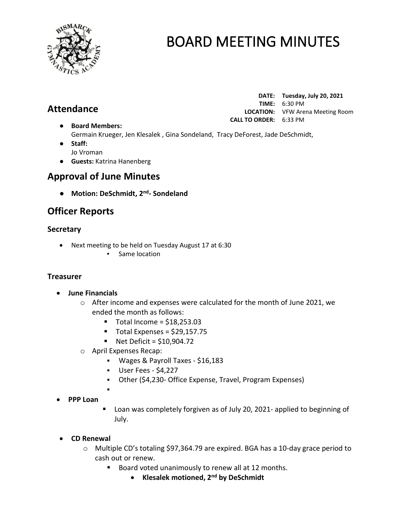

# **Attendance**

**DATE: Tuesday, July 20, 2021 TIME:** 6:30 PM **LOCATION:** VFW Arena Meeting Room **CALL TO ORDER:** 6:33 PM

- **Board Members:** Germain Krueger, Jen Klesalek , Gina Sondeland, Tracy DeForest, Jade DeSchmidt,
- **Staff:**  Jo Vroman
- **Guests:** Katrina Hanenberg

# **Approval of June Minutes**

● **Motion: DeSchmidt, 2 nd - Sondeland**

# **Officer Reports**

### **Secretary**

- Next meeting to be held on Tuesday August 17 at 6:30
	- Same location

## **Treasurer**

- **June Financials** 
	- $\circ$  After income and expenses were calculated for the month of June 2021, we ended the month as follows:
		- $\blacksquare$  Total Income = \$18,253.03
		- $\blacksquare$  Total Expenses = \$29,157.75
		- $\blacksquare$  Net Deficit = \$10,904.72
	- o April Expenses Recap:

▪

- Wages & Payroll Taxes \$16,183
- User Fees \$4,227
- Other (\$4,230- Office Expense, Travel, Program Expenses)
- **PPP Loan**
- Loan was completely forgiven as of July 20, 2021- applied to beginning of July.
- **CD Renewal**
	- o Multiple CD's totaling \$97,364.79 are expired. BGA has a 10-day grace period to cash out or renew.
		- Board voted unanimously to renew all at 12 months.
			- **Klesalek motioned, 2nd by DeSchmidt**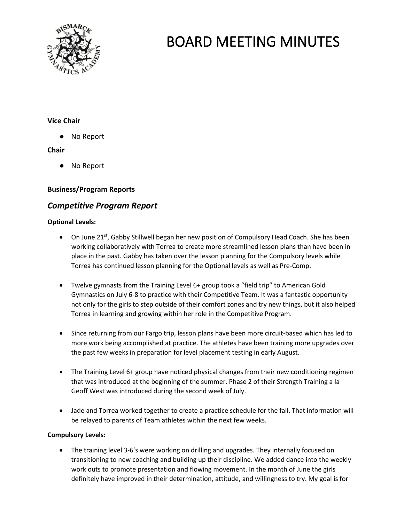

### **Vice Chair**

● No Report

### **Chair**

● No Report

### **Business/Program Reports**

## *Competitive Program Report*

#### **Optional Levels:**

- On June  $21^{st}$ , Gabby Stillwell began her new position of Compulsory Head Coach. She has been working collaboratively with Torrea to create more streamlined lesson plans than have been in place in the past. Gabby has taken over the lesson planning for the Compulsory levels while Torrea has continued lesson planning for the Optional levels as well as Pre-Comp.
- Twelve gymnasts from the Training Level 6+ group took a "field trip" to American Gold Gymnastics on July 6-8 to practice with their Competitive Team. It was a fantastic opportunity not only for the girls to step outside of their comfort zones and try new things, but it also helped Torrea in learning and growing within her role in the Competitive Program.
- Since returning from our Fargo trip, lesson plans have been more circuit-based which has led to more work being accomplished at practice. The athletes have been training more upgrades over the past few weeks in preparation for level placement testing in early August.
- The Training Level 6+ group have noticed physical changes from their new conditioning regimen that was introduced at the beginning of the summer. Phase 2 of their Strength Training a la Geoff West was introduced during the second week of July.
- Jade and Torrea worked together to create a practice schedule for the fall. That information will be relayed to parents of Team athletes within the next few weeks.

#### **Compulsory Levels:**

• The training level 3-6's were working on drilling and upgrades. They internally focused on transitioning to new coaching and building up their discipline. We added dance into the weekly work outs to promote presentation and flowing movement. In the month of June the girls definitely have improved in their determination, attitude, and willingness to try. My goal is for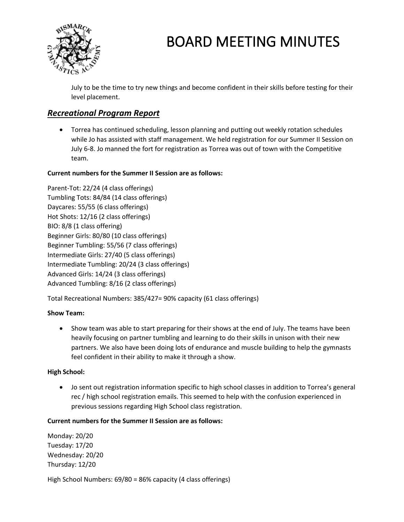

July to be the time to try new things and become confident in their skills before testing for their level placement.

## *Recreational Program Report*

• Torrea has continued scheduling, lesson planning and putting out weekly rotation schedules while Jo has assisted with staff management. We held registration for our Summer II Session on July 6-8. Jo manned the fort for registration as Torrea was out of town with the Competitive team.

### **Current numbers for the Summer II Session are as follows:**

Parent-Tot: 22/24 (4 class offerings) Tumbling Tots: 84/84 (14 class offerings) Daycares: 55/55 (6 class offerings) Hot Shots: 12/16 (2 class offerings) BIO: 8/8 (1 class offering) Beginner Girls: 80/80 (10 class offerings) Beginner Tumbling: 55/56 (7 class offerings) Intermediate Girls: 27/40 (5 class offerings) Intermediate Tumbling: 20/24 (3 class offerings) Advanced Girls: 14/24 (3 class offerings) Advanced Tumbling: 8/16 (2 class offerings)

Total Recreational Numbers: 385/427= 90% capacity (61 class offerings)

### **Show Team:**

• Show team was able to start preparing for their shows at the end of July. The teams have been heavily focusing on partner tumbling and learning to do their skills in unison with their new partners. We also have been doing lots of endurance and muscle building to help the gymnasts feel confident in their ability to make it through a show.

### **High School:**

• Jo sent out registration information specific to high school classes in addition to Torrea's general rec / high school registration emails. This seemed to help with the confusion experienced in previous sessions regarding High School class registration.

#### **Current numbers for the Summer II Session are as follows:**

Monday: 20/20 Tuesday: 17/20 Wednesday: 20/20 Thursday: 12/20

High School Numbers: 69/80 = 86% capacity (4 class offerings)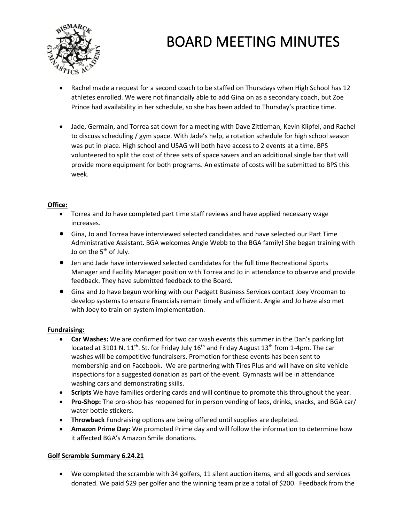

- Rachel made a request for a second coach to be staffed on Thursdays when High School has 12 athletes enrolled. We were not financially able to add Gina on as a secondary coach, but Zoe Prince had availability in her schedule, so she has been added to Thursday's practice time.
- Jade, Germain, and Torrea sat down for a meeting with Dave Zittleman, Kevin Klipfel, and Rachel to discuss scheduling / gym space. With Jade's help, a rotation schedule for high school season was put in place. High school and USAG will both have access to 2 events at a time. BPS volunteered to split the cost of three sets of space savers and an additional single bar that will provide more equipment for both programs. An estimate of costs will be submitted to BPS this week.

#### **Office:**

- Torrea and Jo have completed part time staff reviews and have applied necessary wage increases.
- Gina, Jo and Torrea have interviewed selected candidates and have selected our Part Time Administrative Assistant. BGA welcomes Angie Webb to the BGA family! She began training with Jo on the 5<sup>th</sup> of July.
- Jen and Jade have interviewed selected candidates for the full time Recreational Sports Manager and Facility Manager position with Torrea and Jo in attendance to observe and provide feedback. They have submitted feedback to the Board.
- Gina and Jo have begun working with our Padgett Business Services contact Joey Vrooman to develop systems to ensure financials remain timely and efficient. Angie and Jo have also met with Joey to train on system implementation.

#### **Fundraising:**

- **Car Washes:** We are confirmed for two car wash events this summer in the Dan's parking lot located at 3101 N.  $11<sup>th</sup>$ . St. for Friday July  $16<sup>th</sup>$  and Friday August  $13<sup>th</sup>$  from 1-4pm. The car washes will be competitive fundraisers. Promotion for these events has been sent to membership and on Facebook. We are partnering with Tires Plus and will have on site vehicle inspections for a suggested donation as part of the event. Gymnasts will be in attendance washing cars and demonstrating skills.
- **Scripts** We have families ordering cards and will continue to promote this throughout the year.
- **Pro-Shop:** The pro-shop has reopened for in person vending of leos, drinks, snacks, and BGA car/ water bottle stickers.
- **Throwback** Fundraising options are being offered until supplies are depleted.
- **Amazon Prime Day:** We promoted Prime day and will follow the information to determine how it affected BGA's Amazon Smile donations.

#### **Golf Scramble Summary 6.24.21**

• We completed the scramble with 34 golfers, 11 silent auction items, and all goods and services donated. We paid \$29 per golfer and the winning team prize a total of \$200. Feedback from the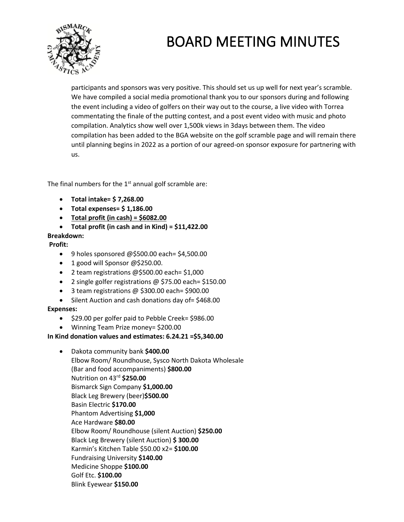

participants and sponsors was very positive. This should set us up well for next year's scramble. We have compiled a social media promotional thank you to our sponsors during and following the event including a video of golfers on their way out to the course, a live video with Torrea commentating the finale of the putting contest, and a post event video with music and photo compilation. Analytics show well over 1,500k views in 3days between them. The video compilation has been added to the BGA website on the golf scramble page and will remain there until planning begins in 2022 as a portion of our agreed-on sponsor exposure for partnering with us.

The final numbers for the  $1<sup>st</sup>$  annual golf scramble are:

- **Total intake= \$ 7,268.00**
- **Total expenses= \$ 1,186.00**
- **Total profit (in cash) = \$6082.00**
- **Total profit (in cash and in Kind) = \$11,422.00**

#### **Breakdown:**

#### **Profit:**

- 9 holes sponsored @\$500.00 each= \$4,500.00
- 1 good will Sponsor @\$250.00.
- 2 team registrations @\$500.00 each= \$1,000
- 2 single golfer registrations @ \$75.00 each= \$150.00
- 3 team registrations @ \$300.00 each= \$900.00
- Silent Auction and cash donations day of= \$468.00

#### **Expenses:**

- \$29.00 per golfer paid to Pebble Creek= \$986.00
- Winning Team Prize money= \$200.00

#### **In Kind donation values and estimates: 6.24.21 =\$5,340.00**

- Dakota community bank **\$400.00**
	- Elbow Room/ Roundhouse, Sysco North Dakota Wholesale (Bar and food accompaniments) **\$800.00** Nutrition on 43rd **\$250.00** Bismarck Sign Company **\$1,000.00** Black Leg Brewery (beer)**\$500.00** Basin Electric **\$170.00** Phantom Advertising **\$1,000** Ace Hardware **\$80.00** Elbow Room/ Roundhouse (silent Auction) **\$250.00** Black Leg Brewery (silent Auction) **\$ 300.00** Karmin's Kitchen Table \$50.00 x2= **\$100.00** Fundraising University **\$140.00** Medicine Shoppe **\$100.00** Golf Etc. **\$100.00** Blink Eyewear **\$150.00**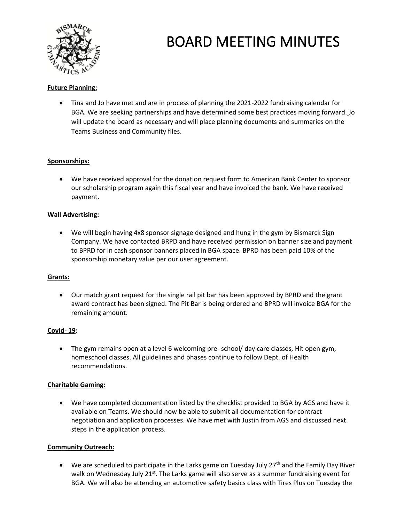

#### **Future Planning:**

• Tina and Jo have met and are in process of planning the 2021-2022 fundraising calendar for BGA. We are seeking partnerships and have determined some best practices moving forward. Jo will update the board as necessary and will place planning documents and summaries on the Teams Business and Community files.

#### **Sponsorships:**

• We have received approval for the donation request form to American Bank Center to sponsor our scholarship program again this fiscal year and have invoiced the bank. We have received payment.

#### **Wall Advertising:**

• We will begin having 4x8 sponsor signage designed and hung in the gym by Bismarck Sign Company. We have contacted BRPD and have received permission on banner size and payment to BPRD for in cash sponsor banners placed in BGA space. BPRD has been paid 10% of the sponsorship monetary value per our user agreement.

#### **Grants:**

• Our match grant request for the single rail pit bar has been approved by BPRD and the grant award contract has been signed. The Pit Bar is being ordered and BPRD will invoice BGA for the remaining amount.

#### **Covid- 19:**

• The gym remains open at a level 6 welcoming pre-school/ day care classes, Hit open gym, homeschool classes. All guidelines and phases continue to follow Dept. of Health recommendations.

#### **Charitable Gaming:**

• We have completed documentation listed by the checklist provided to BGA by AGS and have it available on Teams. We should now be able to submit all documentation for contract negotiation and application processes. We have met with Justin from AGS and discussed next steps in the application process.

#### **Community Outreach:**

• We are scheduled to participate in the Larks game on Tuesday July 27<sup>th</sup> and the Family Day River walk on Wednesday July 21<sup>st</sup>. The Larks game will also serve as a summer fundraising event for BGA. We will also be attending an automotive safety basics class with Tires Plus on Tuesday the